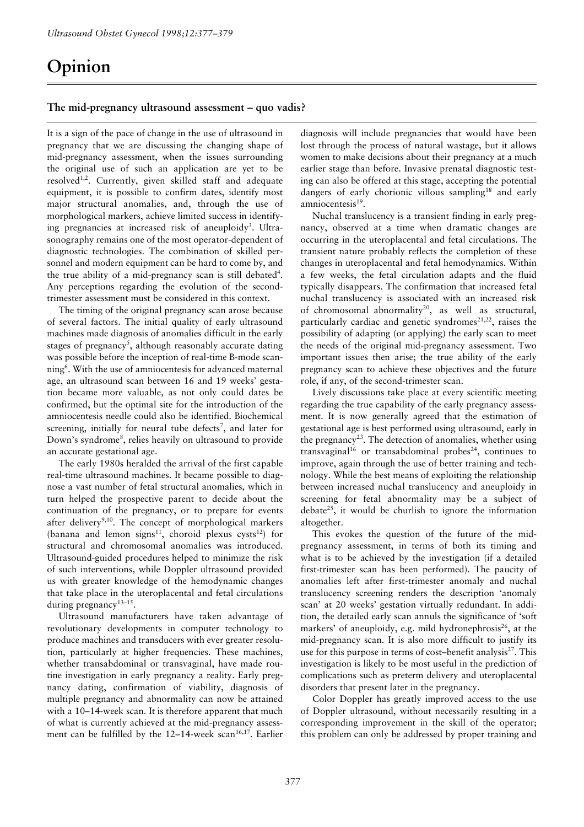## **Opinion**

## **The mid-pregnancy ultrasound assessment – quo vadis?**

It is a sign of the pace of change in the use of ultrasound in pregnancy that we are discussing the changing shape of mid-pregnancy assessment, when the issues surrounding the original use of such an application are yet to be resolved<sup>1,2</sup>. Currently, given skilled staff and adequate equipment, it is possible to confirm dates, identify most major structural anomalies, and, through the use of morphological markers, achieve limited success in identifying pregnancies at increased risk of aneuploidy<sup>3</sup>. Ultrasonography remains one of the most operator-dependent of diagnostic technologies. The combination of skilled personnel and modern equipment can be hard to come by, and the true ability of a mid-pregnancy scan is still debated<sup>4</sup>. Any perceptions regarding the evolution of the secondtrimester assessment must be considered in this context.

The timing of the original pregnancy scan arose because of several factors. The initial quality of early ultrasound machines made diagnosis of anomalies difficult in the early stages of pregnancy<sup>5</sup>, although reasonably accurate dating was possible before the inception of real-time B-mode scanning<sup>6</sup>. With the use of amniocentesis for advanced maternal age, an ultrasound scan between 16 and 19 weeks' gestation became more valuable, as not only could dates be confirmed, but the optimal site for the introduction of the amniocentesis needle could also be identified. Biochemical screening, initially for neural tube defects<sup>7</sup>, and later for Down's syndrome<sup>8</sup>, relies heavily on ultrasound to provide an accurate gestational age.

The early 1980s heralded the arrival of the first capable real-time ultrasound machines. It became possible to diagnose a vast number of fetal structural anomalies, which in turn helped the prospective parent to decide about the continuation of the pregnancy, or to prepare for events after delivery<sup>9,10</sup>. The concept of morphological markers (banana and lemon signs<sup>11</sup>, choroid plexus cysts<sup>12</sup>) for structural and chromosomal anomalies was introduced. Ultrasound-guided procedures helped to minimize the risk of such interventions, while Doppler ultrasound provided us with greater knowledge of the hemodynamic changes that take place in the uteroplacental and fetal circulations during pregnancy<sup>13-15</sup>.

Ultrasound manufacturers have taken advantage of revolutionary developments in computer technology to produce machines and transducers with ever greater resolution, particularly at higher frequencies. These machines, whether transabdominal or transvaginal, have made routine investigation in early pregnancy a reality. Early pregnancy dating, confirmation of viability, diagnosis of multiple pregnancy and abnormality can now be attained with a 10–14-week scan. It is therefore apparent that much of what is currently achieved at the mid-pregnancy assessment can be fulfilled by the 12-14-week scan<sup>16,17</sup>. Earlier

diagnosis will include pregnancies that would have been lost through the process of natural wastage, but it allows women to make decisions about their pregnancy at a much earlier stage than before. Invasive prenatal diagnostic testing can also be offered at this stage, accepting the potential dangers of early chorionic villous sampling<sup>18</sup> and early  $amniocentesis<sup>19</sup>$ .

Nuchal translucency is a transient finding in early pregnancy, observed at a time when dramatic changes are occurring in the uteroplacental and fetal circulations. The transient nature probably reflects the completion of these changes in uteroplacental and fetal hemodynamics. Within a few weeks, the fetal circulation adapts and the fluid typically disappears. The confirmation that increased fetal nuchal translucency is associated with an increased risk of chromosomal abnormality<sup>20</sup>, as well as structural, particularly cardiac and genetic syndromes<sup>21,22</sup>, raises the possibility of adapting (or applying) the early scan to meet the needs of the original mid-pregnancy assessment. Two important issues then arise; the true ability of the early pregnancy scan to achieve these objectives and the future role, if any, of the second-trimester scan.

Lively discussions take place at every scientific meeting regarding the true capability of the early pregnancy assessment. It is now generally agreed that the estimation of gestational age is best performed using ultrasound, early in the pregnancy<sup>23</sup>. The detection of anomalies, whether using transvaginal<sup>16</sup> or transabdominal probes<sup>24</sup>, continues to improve, again through the use of better training and technology. While the best means of exploiting the relationship between increased nuchal translucency and aneuploidy in screening for fetal abnormality may be a subject of debate<sup>25</sup>, it would be churlish to ignore the information altogether.

This evokes the question of the future of the midpregnancy assessment, in terms of both its timing and what is to be achieved by the investigation (if a detailed first-trimester scan has been performed). The paucity of anomalies left after first-trimester anomaly and nuchal translucency screening renders the description 'anomaly scan' at 20 weeks' gestation virtually redundant. In addition, the detailed early scan annuls the significance of 'soft markers' of aneuploidy, e.g. mild hydronephrosis<sup>26</sup>, at the mid-pregnancy scan. It is also more difficult to justify its use for this purpose in terms of cost-benefit analysis $27$ . This investigation is likely to be most useful in the prediction of complications such as preterm delivery and uteroplacental disorders that present later in the pregnancy.

Color Doppler has greatly improved access to the use of Doppler ultrasound, without necessarily resulting in a corresponding improvement in the skill of the operator; this problem can only be addressed by proper training and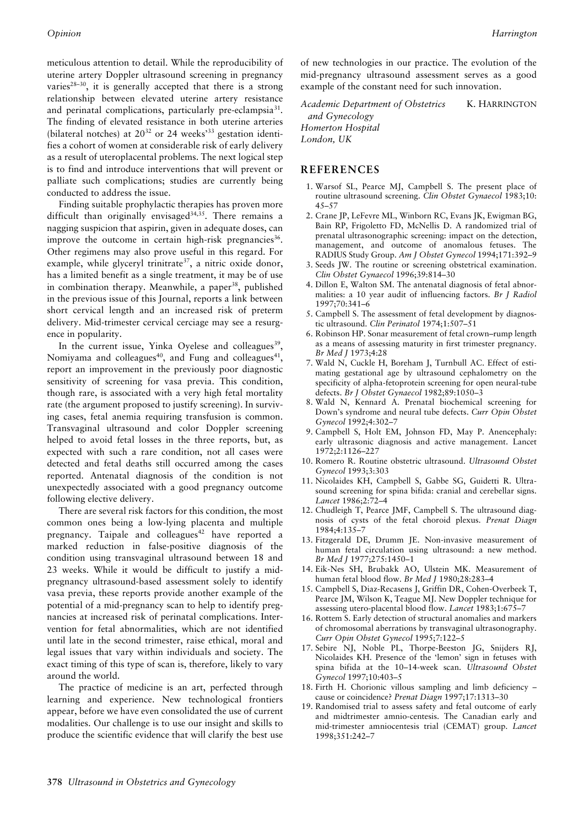meticulous attention to detail. While the reproducibility of uterine artery Doppler ultrasound screening in pregnancy varies<sup>28–30</sup>, it is generally accepted that there is a strong relationship between elevated uterine artery resistance and perinatal complications, particularly pre-eclampsia<sup>31</sup>. The finding of elevated resistance in both uterine arteries (bilateral notches) at  $20^{32}$  or 24 weeks<sup>333</sup> gestation identifies a cohort of women at considerable risk of early delivery as a result of uteroplacental problems. The next logical step is to find and introduce interventions that will prevent or palliate such complications; studies are currently being conducted to address the issue.

Finding suitable prophylactic therapies has proven more difficult than originally envisaged<sup>34,35</sup>. There remains a nagging suspicion that aspirin, given in adequate doses, can improve the outcome in certain high-risk pregnancies<sup>36</sup>. Other regimens may also prove useful in this regard. For example, while glyceryl trinitrate<sup>37</sup>, a nitric oxide donor, has a limited benefit as a single treatment, it may be of use in combination therapy. Meanwhile, a paper<sup>38</sup>, published in the previous issue of this Journal, reports a link between short cervical length and an increased risk of preterm delivery. Mid-trimester cervical cerciage may see a resurgence in popularity.

In the current issue, Yinka Oyelese and colleagues<sup>39</sup>, Nomiyama and colleagues<sup>40</sup>, and Fung and colleagues<sup>41</sup>, report an improvement in the previously poor diagnostic sensitivity of screening for vasa previa. This condition, though rare, is associated with a very high fetal mortality rate (the argument proposed to justify screening). In surviving cases, fetal anemia requiring transfusion is common. Transvaginal ultrasound and color Doppler screening helped to avoid fetal losses in the three reports, but, as expected with such a rare condition, not all cases were detected and fetal deaths still occurred among the cases reported. Antenatal diagnosis of the condition is not unexpectedly associated with a good pregnancy outcome following elective delivery.

There are several risk factors for this condition, the most common ones being a low-lying placenta and multiple pregnancy. Taipale and colleagues $42$  have reported a marked reduction in false-positive diagnosis of the condition using transvaginal ultrasound between 18 and 23 weeks. While it would be difficult to justify a midpregnancy ultrasound-based assessment solely to identify vasa previa, these reports provide another example of the potential of a mid-pregnancy scan to help to identify pregnancies at increased risk of perinatal complications. Intervention for fetal abnormalities, which are not identified until late in the second trimester, raise ethical, moral and legal issues that vary within individuals and society. The exact timing of this type of scan is, therefore, likely to vary around the world.

The practice of medicine is an art, perfected through learning and experience. New technological frontiers appear, before we have even consolidated the use of current modalities. Our challenge is to use our insight and skills to produce the scientific evidence that will clarify the best use of new technologies in our practice. The evolution of the mid-pregnancy ultrasound assessment serves as a good example of the constant need for such innovation.

*Academic Department of Obstetrics and Gynecology* K. HARRINGTON *Homerton Hospital London, UK*

## **REFERENCES**

- 1. Warsof SL, Pearce MJ, Campbell S. The present place of routine ultrasound screening. *Clin Obstet Gynaecol* 1983;10: 45–57
- 2. Crane JP, LeFevre ML, Winborn RC, Evans JK, Ewigman BG, Bain RP, Frigoletto FD, McNellis D. A randomized trial of prenatal ultrasonographic screening: impact on the detection, management, and outcome of anomalous fetuses. The RADIUS Study Group. *Am J Obstet Gynecol* 1994;171:392–9
- 3. Seeds JW. The routine or screening obstetrical examination. *Clin Obstet Gynaecol* 1996;39:814–30
- 4. Dillon E, Walton SM. The antenatal diagnosis of fetal abnormalities: a 10 year audit of influencing factors. *Br J Radiol* 1997;70:341–6
- 5. Campbell S. The assessment of fetal development by diagnostic ultrasound. *Clin Perinatol* 1974;1:507–51
- 6. Robinson HP. Sonar measurement of fetal crown–rump length as a means of assessing maturity in first trimester pregnancy. *Br Med J* 1973;4:28
- 7. Wald N, Cuckle H, Boreham J, Turnbull AC. Effect of estimating gestational age by ultrasound cephalometry on the specificity of alpha-fetoprotein screening for open neural-tube defects. *Br J Obstet Gynaecol* 1982;89:1050–3
- 8. Wald N, Kennard A. Prenatal biochemical screening for Down's syndrome and neural tube defects. *Curr Opin Obstet Gynecol* 1992;4:302–7
- 9. Campbell S, Holt EM, Johnson FD, May P. Anencephaly: early ultrasonic diagnosis and active management. Lancet 1972;2:1126–227
- 10. Romero R. Routine obstetric ultrasound. *Ultrasound Obstet Gynecol* 1993;3:303
- 11. Nicolaides KH, Campbell S, Gabbe SG, Guidetti R. Ultrasound screening for spina bifida: cranial and cerebellar signs. *Lancet* 1986;2:72–4
- 12. Chudleigh T, Pearce JMF, Campbell S. The ultrasound diagnosis of cysts of the fetal choroid plexus. *Prenat Diagn* 1984;4:135–7
- 13. Fitzgerald DE, Drumm JE. Non-invasive measurement of human fetal circulation using ultrasound: a new method. *Br Med J* 1977;275:1450–1
- 14. Eik-Nes SH, Brubakk AO, Ulstein MK. Measurement of human fetal blood flow. *Br Med J* 1980;28:283–4
- 15. Campbell S, Diaz-Recasens J, Griffin DR, Cohen-Overbeek T, Pearce JM, Wilson K, Teague MJ. New Doppler technique for assessing utero-placental blood flow. *Lancet* 1983;1:675–7
- 16. Rottem S. Early detection of structural anomalies and markers of chromosomal aberrations by transvaginal ultrasonography. *Curr Opin Obstet Gynecol* 1995;7:122–5
- 17. Sebire NJ, Noble PL, Thorpe-Beeston JG, Snijders RJ, Nicolaides KH. Presence of the 'lemon' sign in fetuses with spina bifida at the 10–14-week scan. *Ultrasound Obstet Gynecol* 1997;10:403–5
- 18. Firth H. Chorionic villous sampling and limb deficiency cause or coincidence? *Prenat Diagn* 1997;17:1313–30
- 19. Randomised trial to assess safety and fetal outcome of early and midtrimester amnio-centesis. The Canadian early and mid-trimester amniocentesis trial (CEMAT) group. *Lancet* 1998;351:242–7